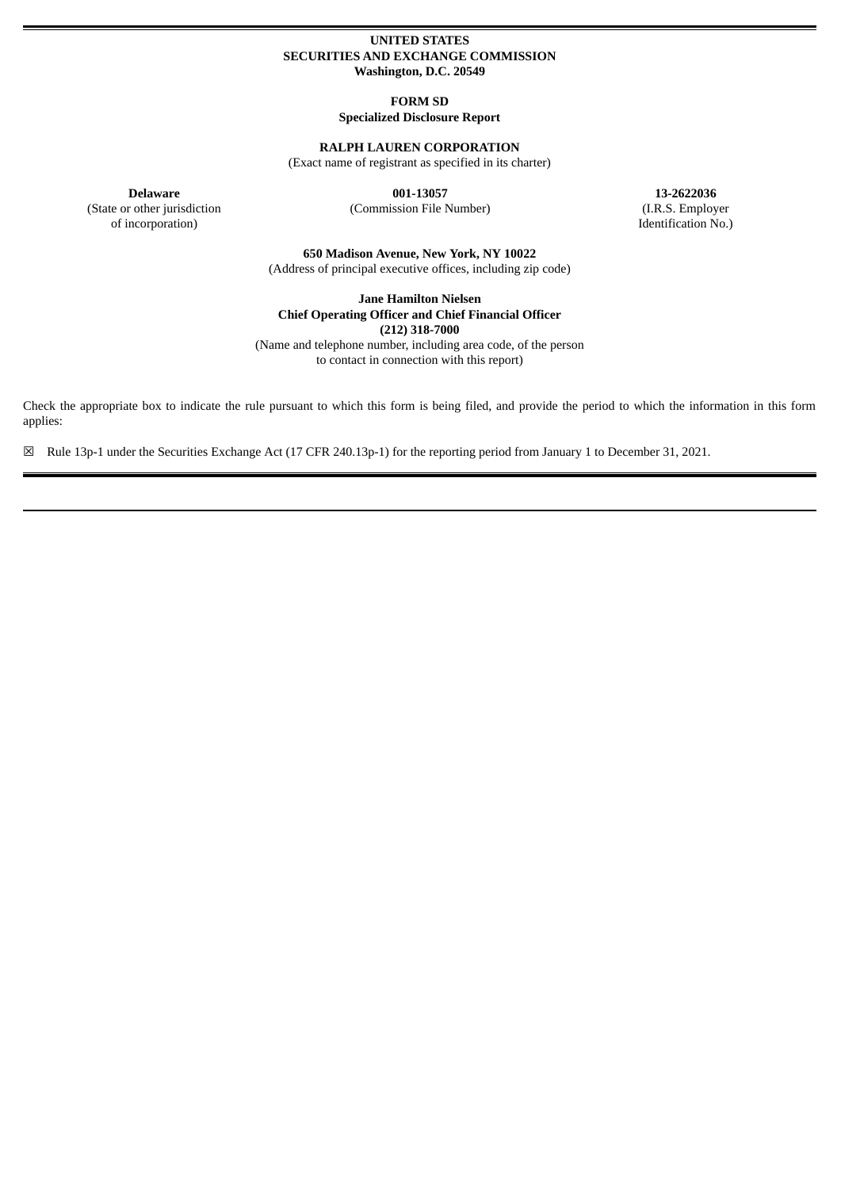# **UNITED STATES SECURITIES AND EXCHANGE COMMISSION Washington, D.C. 20549**

**FORM SD Specialized Disclosure Report**

# **RALPH LAUREN CORPORATION**

(Exact name of registrant as specified in its charter)

(State or other jurisdiction

of incorporation)

(Commission File Number) (I.R.S. Employer

**Delaware 001-13057 13-2622036** Identification No.)

> **650 Madison Avenue, New York, NY 10022** (Address of principal executive offices, including zip code)

**Jane Hamilton Nielsen Chief Operating Officer and Chief Financial Officer (212) 318-7000**

(Name and telephone number, including area code, of the person to contact in connection with this report)

Check the appropriate box to indicate the rule pursuant to which this form is being filed, and provide the period to which the information in this form applies:

☒ Rule 13p-1 under the Securities Exchange Act (17 CFR 240.13p-1) for the reporting period from January 1 to December 31, 2021.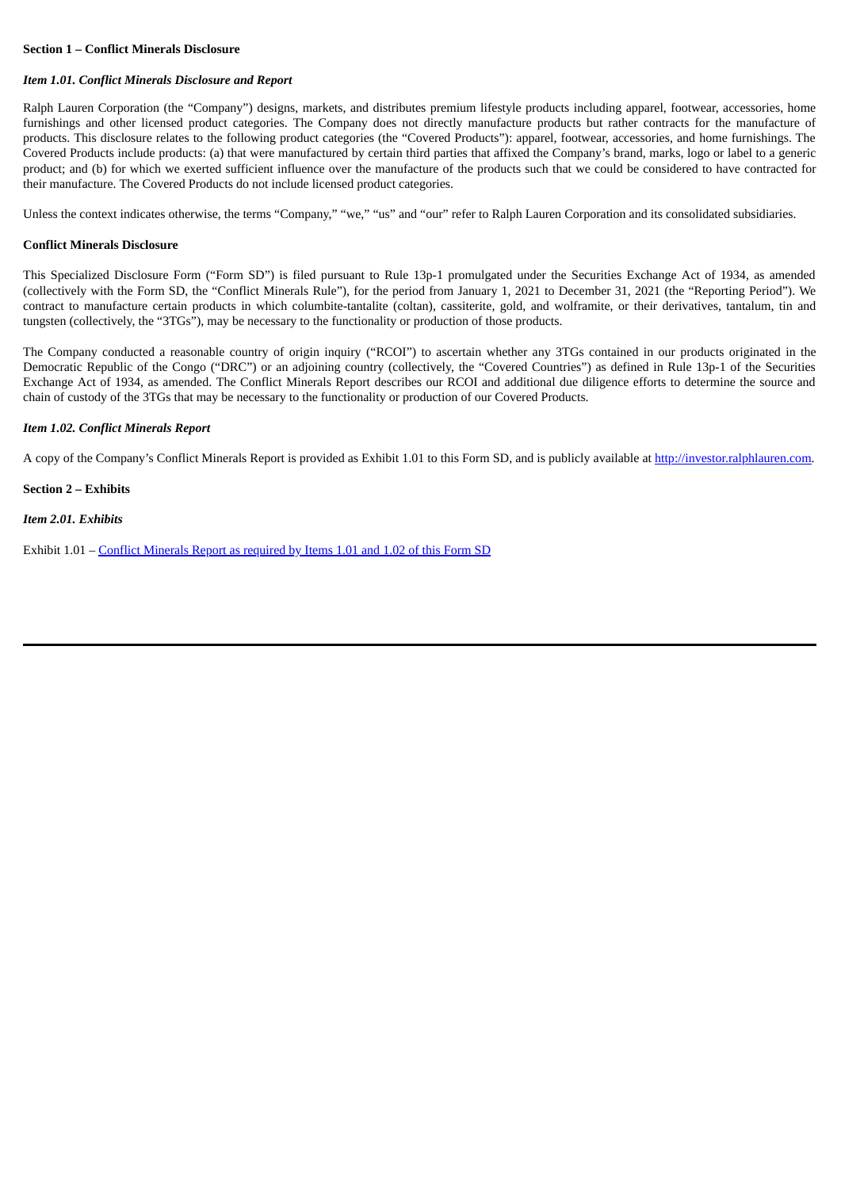## **Section 1 – Conflict Minerals Disclosure**

### *Item 1.01. Conflict Minerals Disclosure and Report*

Ralph Lauren Corporation (the "Company") designs, markets, and distributes premium lifestyle products including apparel, footwear, accessories, home furnishings and other licensed product categories. The Company does not directly manufacture products but rather contracts for the manufacture of products. This disclosure relates to the following product categories (the "Covered Products"): apparel, footwear, accessories, and home furnishings. The Covered Products include products: (a) that were manufactured by certain third parties that affixed the Company's brand, marks, logo or label to a generic product; and (b) for which we exerted sufficient influence over the manufacture of the products such that we could be considered to have contracted for their manufacture. The Covered Products do not include licensed product categories.

Unless the context indicates otherwise, the terms "Company," "we," "us" and "our" refer to Ralph Lauren Corporation and its consolidated subsidiaries.

#### **Conflict Minerals Disclosure**

This Specialized Disclosure Form ("Form SD") is filed pursuant to Rule 13p-1 promulgated under the Securities Exchange Act of 1934, as amended (collectively with the Form SD, the "Conflict Minerals Rule"), for the period from January 1, 2021 to December 31, 2021 (the "Reporting Period"). We contract to manufacture certain products in which columbite-tantalite (coltan), cassiterite, gold, and wolframite, or their derivatives, tantalum, tin and tungsten (collectively, the "3TGs"), may be necessary to the functionality or production of those products.

The Company conducted a reasonable country of origin inquiry ("RCOI") to ascertain whether any 3TGs contained in our products originated in the Democratic Republic of the Congo ("DRC") or an adjoining country (collectively, the "Covered Countries") as defined in Rule 13p-1 of the Securities Exchange Act of 1934, as amended. The Conflict Minerals Report describes our RCOI and additional due diligence efforts to determine the source and chain of custody of the 3TGs that may be necessary to the functionality or production of our Covered Products.

### *Item 1.02. Conflict Minerals Report*

A copy of the Company's Conflict Minerals Report is provided as Exhibit 1.01 to this Form SD, and is publicly available at http://investor.ralphlauren.com.

**Section 2 – Exhibits**

*Item 2.01. Exhibits*

Exhibit 1.01 – Conflict [Minerals](#page-3-0) Report as required by Items 1.01 and 1.02 of this Form SD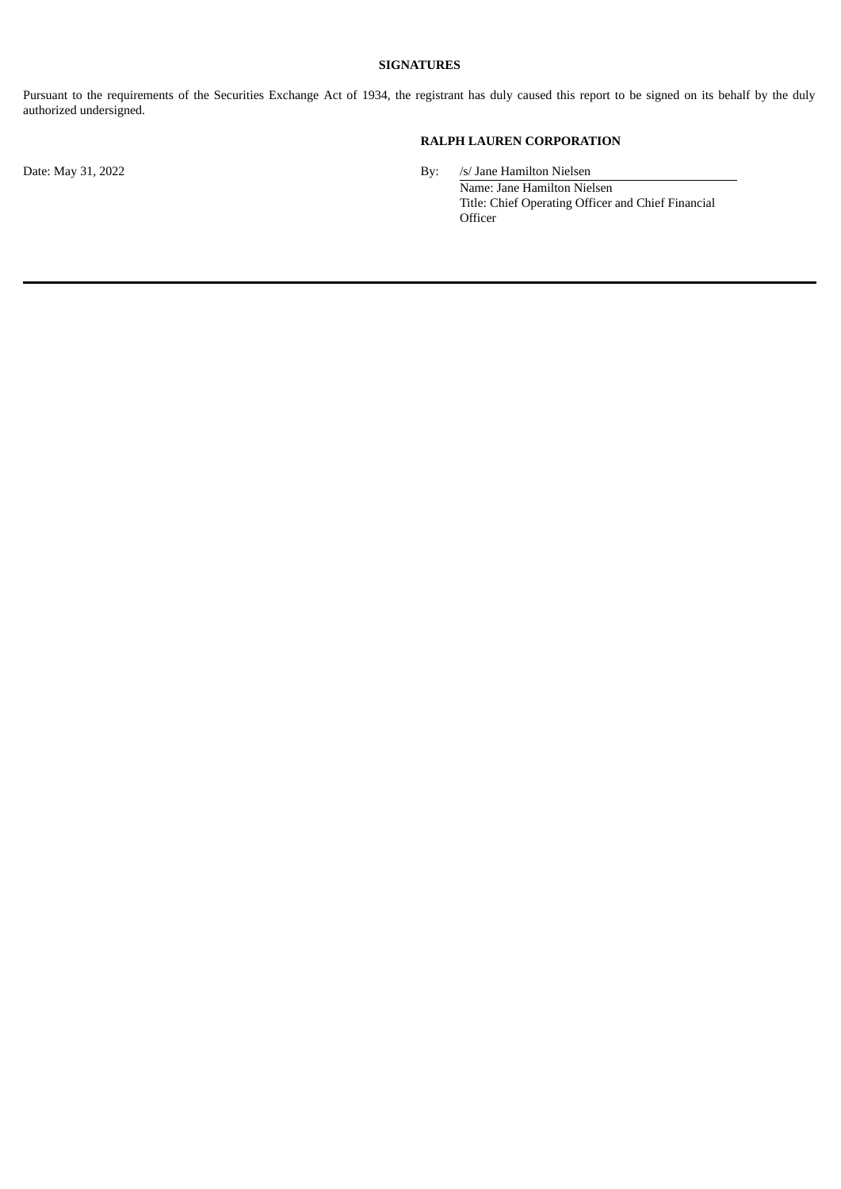# **SIGNATURES**

Pursuant to the requirements of the Securities Exchange Act of 1934, the registrant has duly caused this report to be signed on its behalf by the duly authorized undersigned.

# **RALPH LAUREN CORPORATION**

Date: May 31, 2022 By: /s/ Jane Hamilton Nielsen Name: Jane Hamilton Nielsen Title: Chief Operating Officer and Chief Financial **Officer**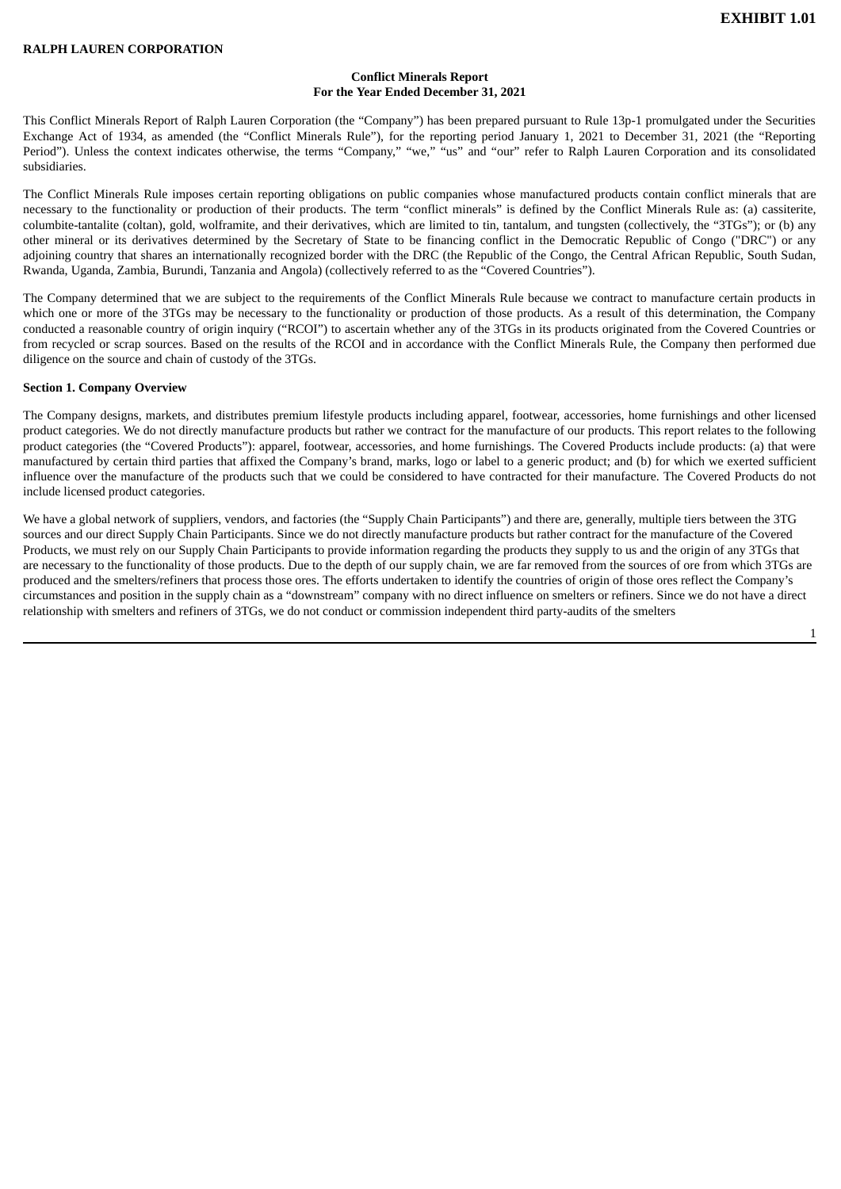1

#### **Conflict Minerals Report For the Year Ended December 31, 2021**

<span id="page-3-0"></span>This Conflict Minerals Report of Ralph Lauren Corporation (the "Company") has been prepared pursuant to Rule 13p-1 promulgated under the Securities Exchange Act of 1934, as amended (the "Conflict Minerals Rule"), for the reporting period January 1, 2021 to December 31, 2021 (the "Reporting Period"). Unless the context indicates otherwise, the terms "Company," "we," "us" and "our" refer to Ralph Lauren Corporation and its consolidated subsidiaries.

The Conflict Minerals Rule imposes certain reporting obligations on public companies whose manufactured products contain conflict minerals that are necessary to the functionality or production of their products. The term "conflict minerals" is defined by the Conflict Minerals Rule as: (a) cassiterite, columbite-tantalite (coltan), gold, wolframite, and their derivatives, which are limited to tin, tantalum, and tungsten (collectively, the "3TGs"); or (b) any other mineral or its derivatives determined by the Secretary of State to be financing conflict in the Democratic Republic of Congo ("DRC") or any adjoining country that shares an internationally recognized border with the DRC (the Republic of the Congo, the Central African Republic, South Sudan, Rwanda, Uganda, Zambia, Burundi, Tanzania and Angola) (collectively referred to as the "Covered Countries").

The Company determined that we are subject to the requirements of the Conflict Minerals Rule because we contract to manufacture certain products in which one or more of the 3TGs may be necessary to the functionality or production of those products. As a result of this determination, the Company conducted a reasonable country of origin inquiry ("RCOI") to ascertain whether any of the 3TGs in its products originated from the Covered Countries or from recycled or scrap sources. Based on the results of the RCOI and in accordance with the Conflict Minerals Rule, the Company then performed due diligence on the source and chain of custody of the 3TGs.

#### **Section 1. Company Overview**

The Company designs, markets, and distributes premium lifestyle products including apparel, footwear, accessories, home furnishings and other licensed product categories. We do not directly manufacture products but rather we contract for the manufacture of our products. This report relates to the following product categories (the "Covered Products"): apparel, footwear, accessories, and home furnishings. The Covered Products include products: (a) that were manufactured by certain third parties that affixed the Company's brand, marks, logo or label to a generic product; and (b) for which we exerted sufficient influence over the manufacture of the products such that we could be considered to have contracted for their manufacture. The Covered Products do not include licensed product categories.

We have a global network of suppliers, vendors, and factories (the "Supply Chain Participants") and there are, generally, multiple tiers between the 3TG sources and our direct Supply Chain Participants. Since we do not directly manufacture products but rather contract for the manufacture of the Covered Products, we must rely on our Supply Chain Participants to provide information regarding the products they supply to us and the origin of any 3TGs that are necessary to the functionality of those products. Due to the depth of our supply chain, we are far removed from the sources of ore from which 3TGs are produced and the smelters/refiners that process those ores. The efforts undertaken to identify the countries of origin of those ores reflect the Company's circumstances and position in the supply chain as a "downstream" company with no direct influence on smelters or refiners. Since we do not have a direct relationship with smelters and refiners of 3TGs, we do not conduct or commission independent third party-audits of the smelters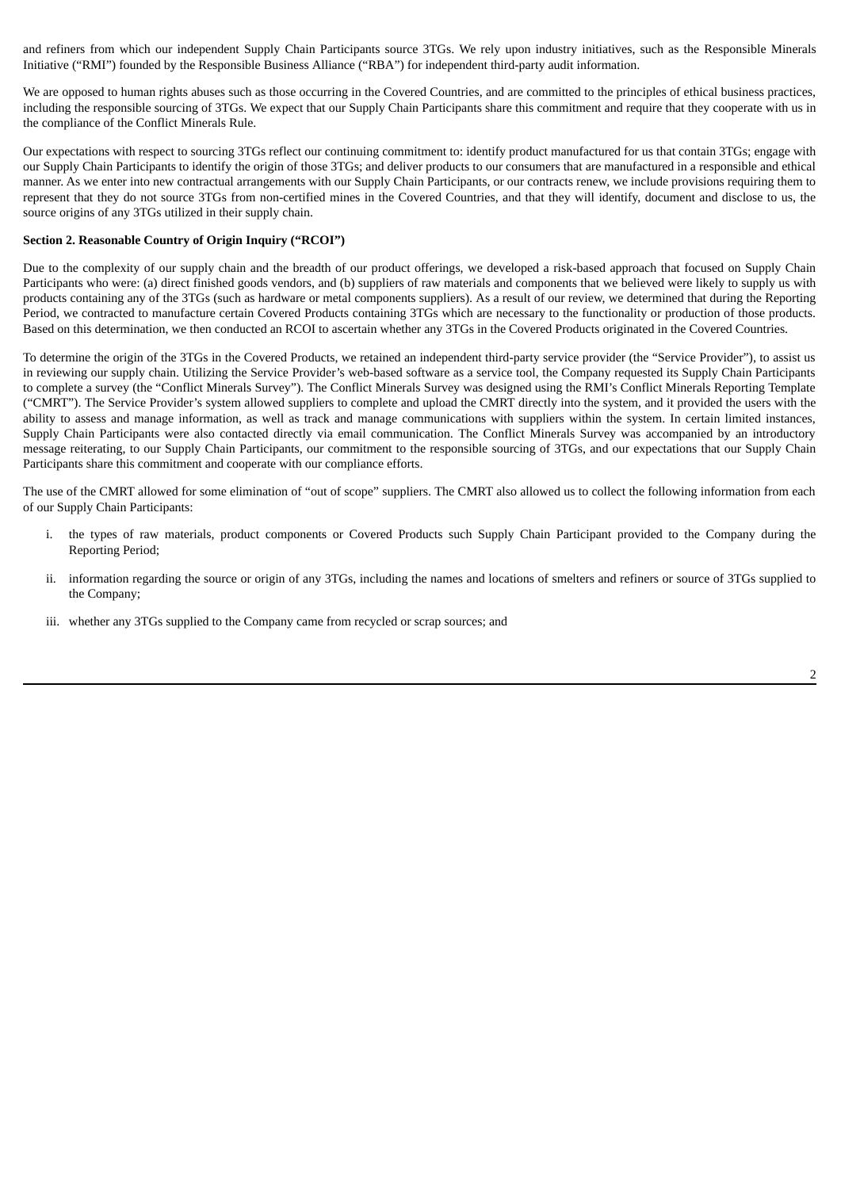and refiners from which our independent Supply Chain Participants source 3TGs. We rely upon industry initiatives, such as the Responsible Minerals Initiative ("RMI") founded by the Responsible Business Alliance ("RBA") for independent third-party audit information.

We are opposed to human rights abuses such as those occurring in the Covered Countries, and are committed to the principles of ethical business practices, including the responsible sourcing of 3TGs. We expect that our Supply Chain Participants share this commitment and require that they cooperate with us in the compliance of the Conflict Minerals Rule.

Our expectations with respect to sourcing 3TGs reflect our continuing commitment to: identify product manufactured for us that contain 3TGs; engage with our Supply Chain Participants to identify the origin of those 3TGs; and deliver products to our consumers that are manufactured in a responsible and ethical manner. As we enter into new contractual arrangements with our Supply Chain Participants, or our contracts renew, we include provisions requiring them to represent that they do not source 3TGs from non-certified mines in the Covered Countries, and that they will identify, document and disclose to us, the source origins of any 3TGs utilized in their supply chain.

## **Section 2. Reasonable Country of Origin Inquiry ("RCOI")**

Due to the complexity of our supply chain and the breadth of our product offerings, we developed a risk-based approach that focused on Supply Chain Participants who were: (a) direct finished goods vendors, and (b) suppliers of raw materials and components that we believed were likely to supply us with products containing any of the 3TGs (such as hardware or metal components suppliers). As a result of our review, we determined that during the Reporting Period, we contracted to manufacture certain Covered Products containing 3TGs which are necessary to the functionality or production of those products. Based on this determination, we then conducted an RCOI to ascertain whether any 3TGs in the Covered Products originated in the Covered Countries.

To determine the origin of the 3TGs in the Covered Products, we retained an independent third-party service provider (the "Service Provider"), to assist us in reviewing our supply chain. Utilizing the Service Provider's web-based software as a service tool, the Company requested its Supply Chain Participants to complete a survey (the "Conflict Minerals Survey"). The Conflict Minerals Survey was designed using the RMI's Conflict Minerals Reporting Template ("CMRT"). The Service Provider's system allowed suppliers to complete and upload the CMRT directly into the system, and it provided the users with the ability to assess and manage information, as well as track and manage communications with suppliers within the system. In certain limited instances, Supply Chain Participants were also contacted directly via email communication. The Conflict Minerals Survey was accompanied by an introductory message reiterating, to our Supply Chain Participants, our commitment to the responsible sourcing of 3TGs, and our expectations that our Supply Chain Participants share this commitment and cooperate with our compliance efforts.

The use of the CMRT allowed for some elimination of "out of scope" suppliers. The CMRT also allowed us to collect the following information from each of our Supply Chain Participants:

- the types of raw materials, product components or Covered Products such Supply Chain Participant provided to the Company during the Reporting Period;
- ii. information regarding the source or origin of any 3TGs, including the names and locations of smelters and refiners or source of 3TGs supplied to the Company;
- iii. whether any 3TGs supplied to the Company came from recycled or scrap sources; and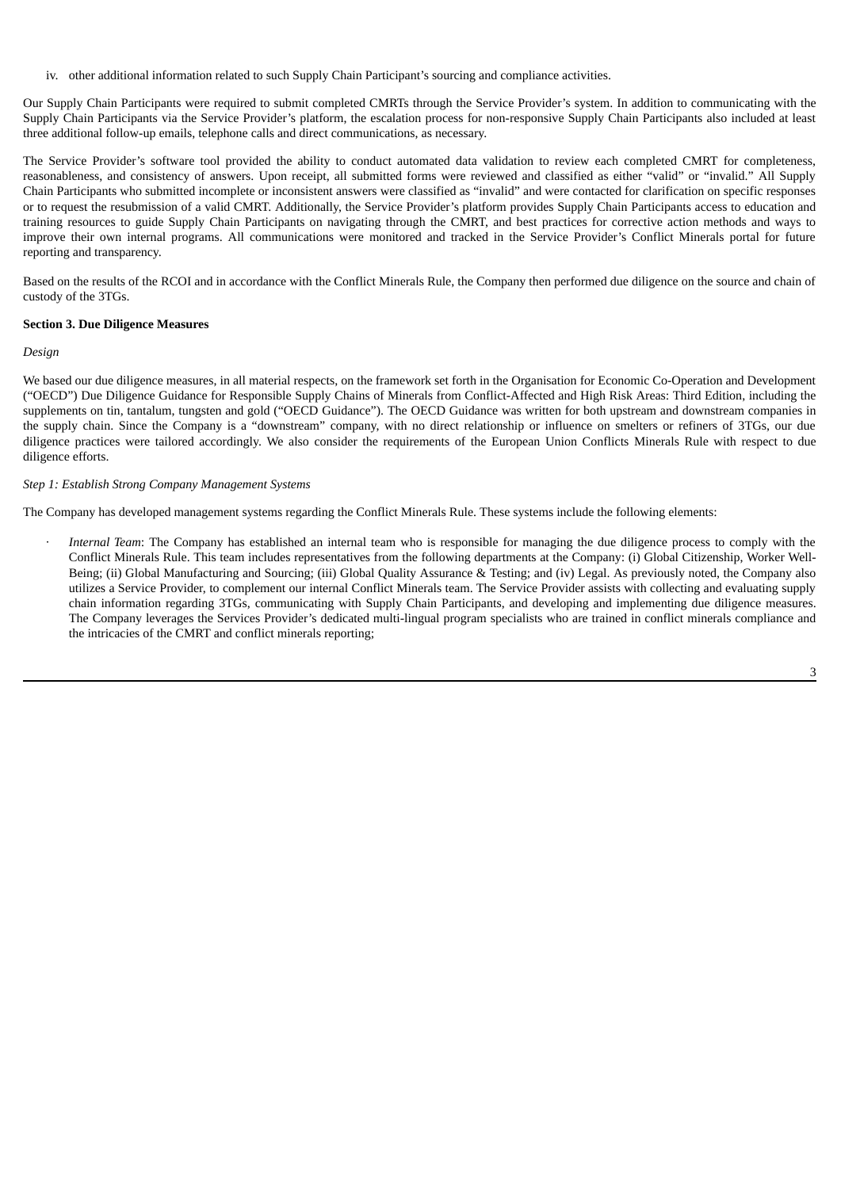iv. other additional information related to such Supply Chain Participant's sourcing and compliance activities.

Our Supply Chain Participants were required to submit completed CMRTs through the Service Provider's system. In addition to communicating with the Supply Chain Participants via the Service Provider's platform, the escalation process for non-responsive Supply Chain Participants also included at least three additional follow-up emails, telephone calls and direct communications, as necessary.

The Service Provider's software tool provided the ability to conduct automated data validation to review each completed CMRT for completeness, reasonableness, and consistency of answers. Upon receipt, all submitted forms were reviewed and classified as either "valid" or "invalid." All Supply Chain Participants who submitted incomplete or inconsistent answers were classified as "invalid" and were contacted for clarification on specific responses or to request the resubmission of a valid CMRT. Additionally, the Service Provider's platform provides Supply Chain Participants access to education and training resources to guide Supply Chain Participants on navigating through the CMRT, and best practices for corrective action methods and ways to improve their own internal programs. All communications were monitored and tracked in the Service Provider's Conflict Minerals portal for future reporting and transparency.

Based on the results of the RCOI and in accordance with the Conflict Minerals Rule, the Company then performed due diligence on the source and chain of custody of the 3TGs.

### **Section 3. Due Diligence Measures**

### *Design*

We based our due diligence measures, in all material respects, on the framework set forth in the Organisation for Economic Co-Operation and Development ("OECD") Due Diligence Guidance for Responsible Supply Chains of Minerals from Conflict-Affected and High Risk Areas: Third Edition, including the supplements on tin, tantalum, tungsten and gold ("OECD Guidance"). The OECD Guidance was written for both upstream and downstream companies in the supply chain. Since the Company is a "downstream" company, with no direct relationship or influence on smelters or refiners of 3TGs, our due diligence practices were tailored accordingly. We also consider the requirements of the European Union Conflicts Minerals Rule with respect to due diligence efforts.

### *Step 1: Establish Strong Company Management Systems*

The Company has developed management systems regarding the Conflict Minerals Rule. These systems include the following elements:

· *Internal Team*: The Company has established an internal team who is responsible for managing the due diligence process to comply with the Conflict Minerals Rule. This team includes representatives from the following departments at the Company: (i) Global Citizenship, Worker Well-Being; (ii) Global Manufacturing and Sourcing; (iii) Global Quality Assurance & Testing; and (iv) Legal. As previously noted, the Company also utilizes a Service Provider, to complement our internal Conflict Minerals team. The Service Provider assists with collecting and evaluating supply chain information regarding 3TGs, communicating with Supply Chain Participants, and developing and implementing due diligence measures. The Company leverages the Services Provider's dedicated multi-lingual program specialists who are trained in conflict minerals compliance and the intricacies of the CMRT and conflict minerals reporting;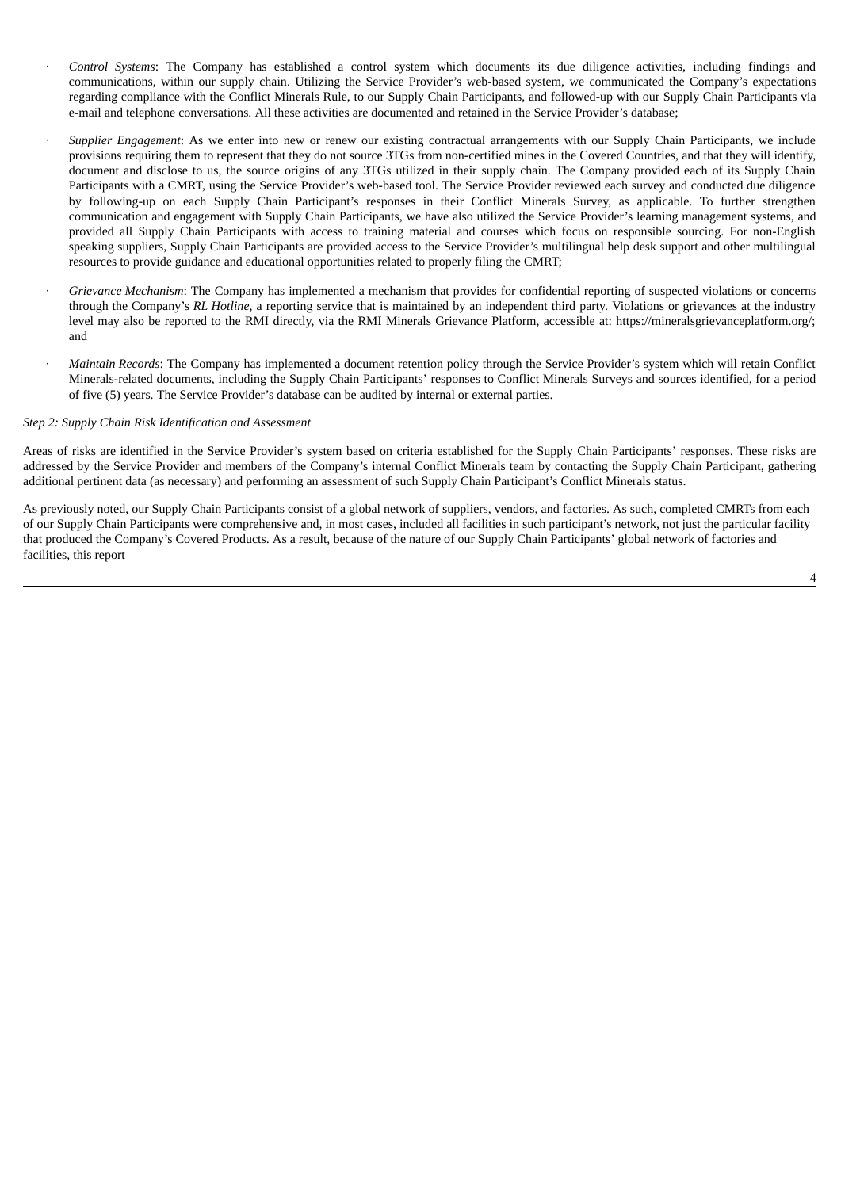- · *Control Systems*: The Company has established a control system which documents its due diligence activities, including findings and communications, within our supply chain. Utilizing the Service Provider's web-based system, we communicated the Company's expectations regarding compliance with the Conflict Minerals Rule, to our Supply Chain Participants, and followed-up with our Supply Chain Participants via e-mail and telephone conversations. All these activities are documented and retained in the Service Provider's database;
- · *Supplier Engagement*: As we enter into new or renew our existing contractual arrangements with our Supply Chain Participants, we include provisions requiring them to represent that they do not source 3TGs from non-certified mines in the Covered Countries, and that they will identify, document and disclose to us, the source origins of any 3TGs utilized in their supply chain. The Company provided each of its Supply Chain Participants with a CMRT, using the Service Provider's web-based tool. The Service Provider reviewed each survey and conducted due diligence by following-up on each Supply Chain Participant's responses in their Conflict Minerals Survey, as applicable. To further strengthen communication and engagement with Supply Chain Participants, we have also utilized the Service Provider's learning management systems, and provided all Supply Chain Participants with access to training material and courses which focus on responsible sourcing. For non-English speaking suppliers, Supply Chain Participants are provided access to the Service Provider's multilingual help desk support and other multilingual resources to provide guidance and educational opportunities related to properly filing the CMRT;
- · *Grievance Mechanism*: The Company has implemented a mechanism that provides for confidential reporting of suspected violations or concerns through the Company's *RL Hotline*, a reporting service that is maintained by an independent third party. Violations or grievances at the industry level may also be reported to the RMI directly, via the RMI Minerals Grievance Platform, accessible at: https://mineralsgrievanceplatform.org/; and
- · *Maintain Records*: The Company has implemented a document retention policy through the Service Provider's system which will retain Conflict Minerals-related documents, including the Supply Chain Participants' responses to Conflict Minerals Surveys and sources identified, for a period of five (5) years. The Service Provider's database can be audited by internal or external parties.

#### *Step 2: Supply Chain Risk Identification and Assessment*

Areas of risks are identified in the Service Provider's system based on criteria established for the Supply Chain Participants' responses. These risks are addressed by the Service Provider and members of the Company's internal Conflict Minerals team by contacting the Supply Chain Participant, gathering additional pertinent data (as necessary) and performing an assessment of such Supply Chain Participant's Conflict Minerals status.

As previously noted, our Supply Chain Participants consist of a global network of suppliers, vendors, and factories. As such, completed CMRTs from each of our Supply Chain Participants were comprehensive and, in most cases, included all facilities in such participant's network, not just the particular facility that produced the Company's Covered Products. As a result, because of the nature of our Supply Chain Participants' global network of factories and facilities, this report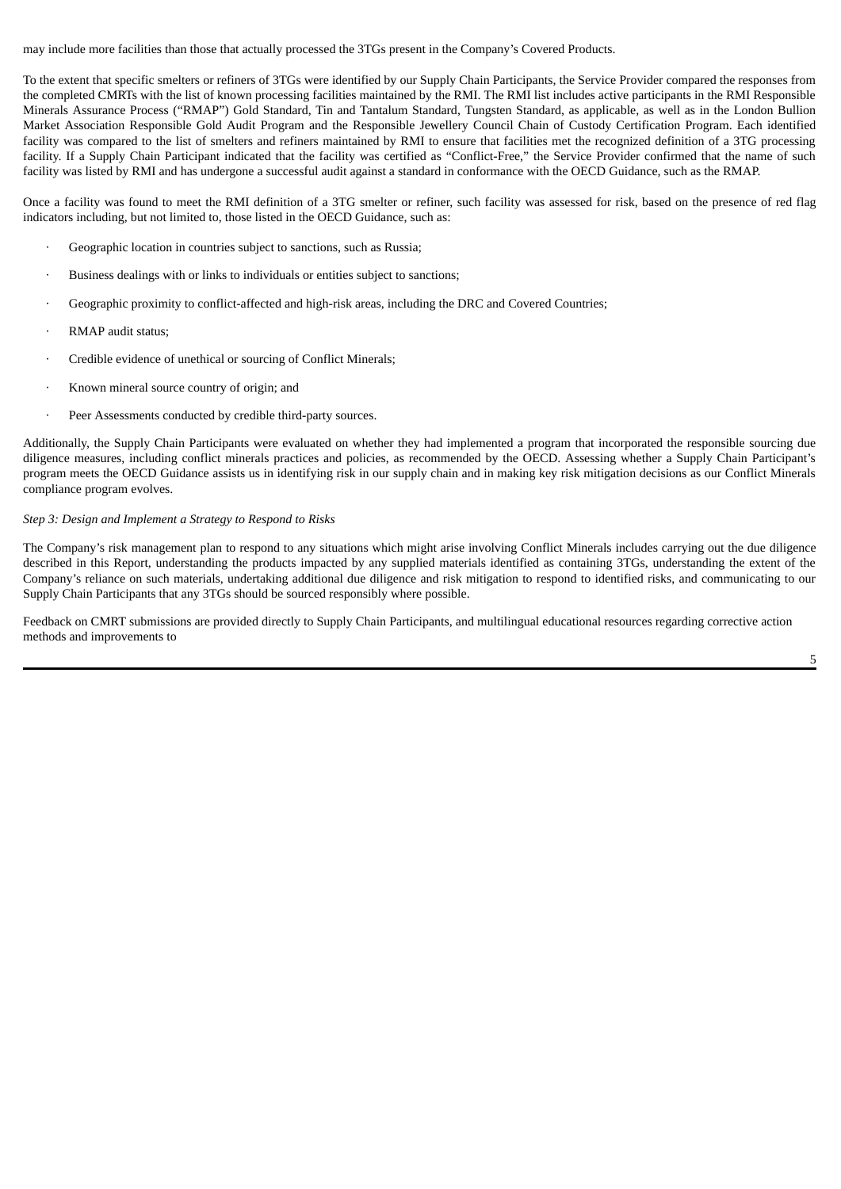may include more facilities than those that actually processed the 3TGs present in the Company's Covered Products.

To the extent that specific smelters or refiners of 3TGs were identified by our Supply Chain Participants, the Service Provider compared the responses from the completed CMRTs with the list of known processing facilities maintained by the RMI. The RMI list includes active participants in the RMI Responsible Minerals Assurance Process ("RMAP") Gold Standard, Tin and Tantalum Standard, Tungsten Standard, as applicable, as well as in the London Bullion Market Association Responsible Gold Audit Program and the Responsible Jewellery Council Chain of Custody Certification Program. Each identified facility was compared to the list of smelters and refiners maintained by RMI to ensure that facilities met the recognized definition of a 3TG processing facility. If a Supply Chain Participant indicated that the facility was certified as "Conflict-Free," the Service Provider confirmed that the name of such facility was listed by RMI and has undergone a successful audit against a standard in conformance with the OECD Guidance, such as the RMAP.

Once a facility was found to meet the RMI definition of a 3TG smelter or refiner, such facility was assessed for risk, based on the presence of red flag indicators including, but not limited to, those listed in the OECD Guidance, such as:

- Geographic location in countries subject to sanctions, such as Russia;
- Business dealings with or links to individuals or entities subject to sanctions;
- Geographic proximity to conflict-affected and high-risk areas, including the DRC and Covered Countries;
- RMAP audit status;
- Credible evidence of unethical or sourcing of Conflict Minerals;
- Known mineral source country of origin; and
- Peer Assessments conducted by credible third-party sources.

Additionally, the Supply Chain Participants were evaluated on whether they had implemented a program that incorporated the responsible sourcing due diligence measures, including conflict minerals practices and policies, as recommended by the OECD. Assessing whether a Supply Chain Participant's program meets the OECD Guidance assists us in identifying risk in our supply chain and in making key risk mitigation decisions as our Conflict Minerals compliance program evolves.

## *Step 3: Design and Implement a Strategy to Respond to Risks*

The Company's risk management plan to respond to any situations which might arise involving Conflict Minerals includes carrying out the due diligence described in this Report, understanding the products impacted by any supplied materials identified as containing 3TGs, understanding the extent of the Company's reliance on such materials, undertaking additional due diligence and risk mitigation to respond to identified risks, and communicating to our Supply Chain Participants that any 3TGs should be sourced responsibly where possible.

Feedback on CMRT submissions are provided directly to Supply Chain Participants, and multilingual educational resources regarding corrective action methods and improvements to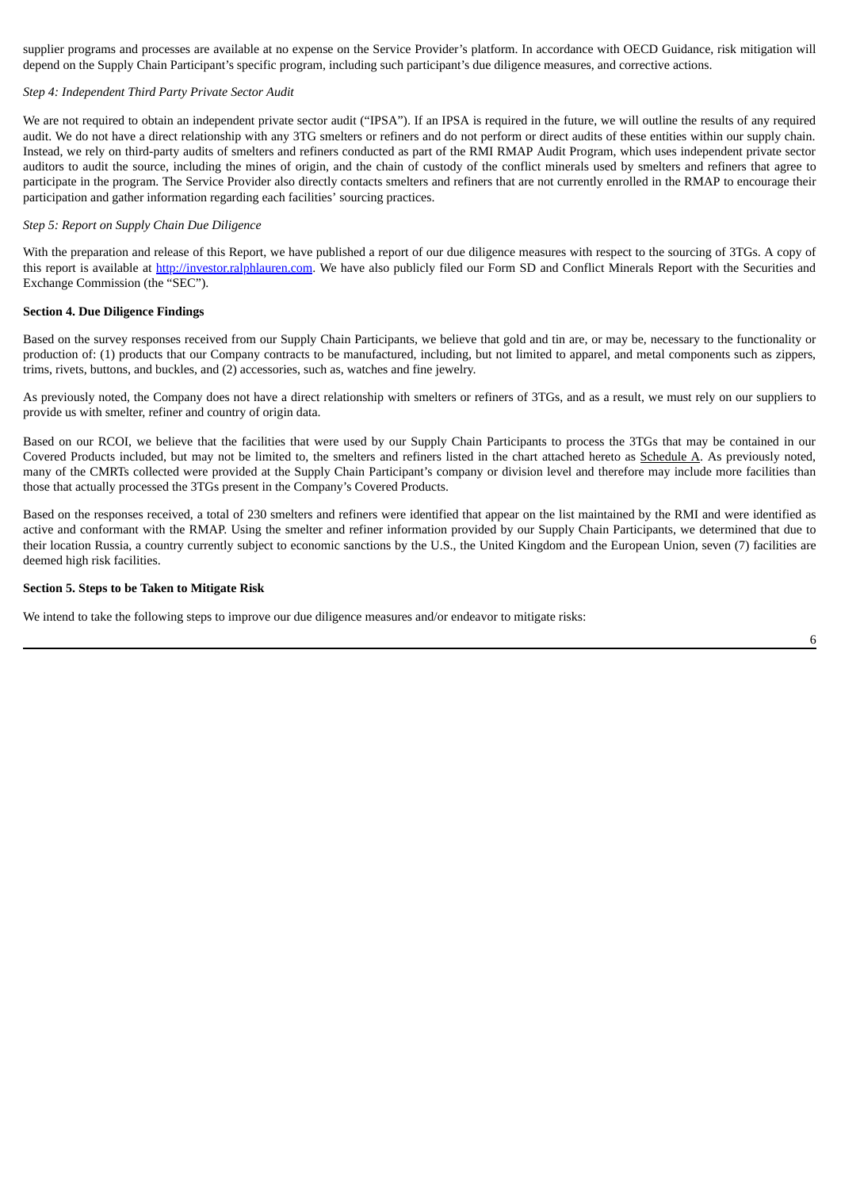supplier programs and processes are available at no expense on the Service Provider's platform. In accordance with OECD Guidance, risk mitigation will depend on the Supply Chain Participant's specific program, including such participant's due diligence measures, and corrective actions.

#### *Step 4: Independent Third Party Private Sector Audit*

We are not required to obtain an independent private sector audit ("IPSA"). If an IPSA is required in the future, we will outline the results of any required audit. We do not have a direct relationship with any 3TG smelters or refiners and do not perform or direct audits of these entities within our supply chain. Instead, we rely on third-party audits of smelters and refiners conducted as part of the RMI RMAP Audit Program, which uses independent private sector auditors to audit the source, including the mines of origin, and the chain of custody of the conflict minerals used by smelters and refiners that agree to participate in the program. The Service Provider also directly contacts smelters and refiners that are not currently enrolled in the RMAP to encourage their participation and gather information regarding each facilities' sourcing practices.

## *Step 5: Report on Supply Chain Due Diligence*

With the preparation and release of this Report, we have published a report of our due diligence measures with respect to the sourcing of 3TGs. A copy of this report is available at http://investor.ralphlauren.com. We have also publicly filed our Form SD and Conflict Minerals Report with the Securities and Exchange Commission (the "SEC").

### **Section 4. Due Diligence Findings**

Based on the survey responses received from our Supply Chain Participants, we believe that gold and tin are, or may be, necessary to the functionality or production of: (1) products that our Company contracts to be manufactured, including, but not limited to apparel, and metal components such as zippers, trims, rivets, buttons, and buckles, and (2) accessories, such as, watches and fine jewelry.

As previously noted, the Company does not have a direct relationship with smelters or refiners of 3TGs, and as a result, we must rely on our suppliers to provide us with smelter, refiner and country of origin data.

Based on our RCOI, we believe that the facilities that were used by our Supply Chain Participants to process the 3TGs that may be contained in our Covered Products included, but may not be limited to, the smelters and refiners listed in the chart attached hereto as Schedule A. As previously noted, many of the CMRTs collected were provided at the Supply Chain Participant's company or division level and therefore may include more facilities than those that actually processed the 3TGs present in the Company's Covered Products.

Based on the responses received, a total of 230 smelters and refiners were identified that appear on the list maintained by the RMI and were identified as active and conformant with the RMAP. Using the smelter and refiner information provided by our Supply Chain Participants, we determined that due to their location Russia, a country currently subject to economic sanctions by the U.S., the United Kingdom and the European Union, seven (7) facilities are deemed high risk facilities.

#### **Section 5. Steps to be Taken to Mitigate Risk**

We intend to take the following steps to improve our due diligence measures and/or endeavor to mitigate risks: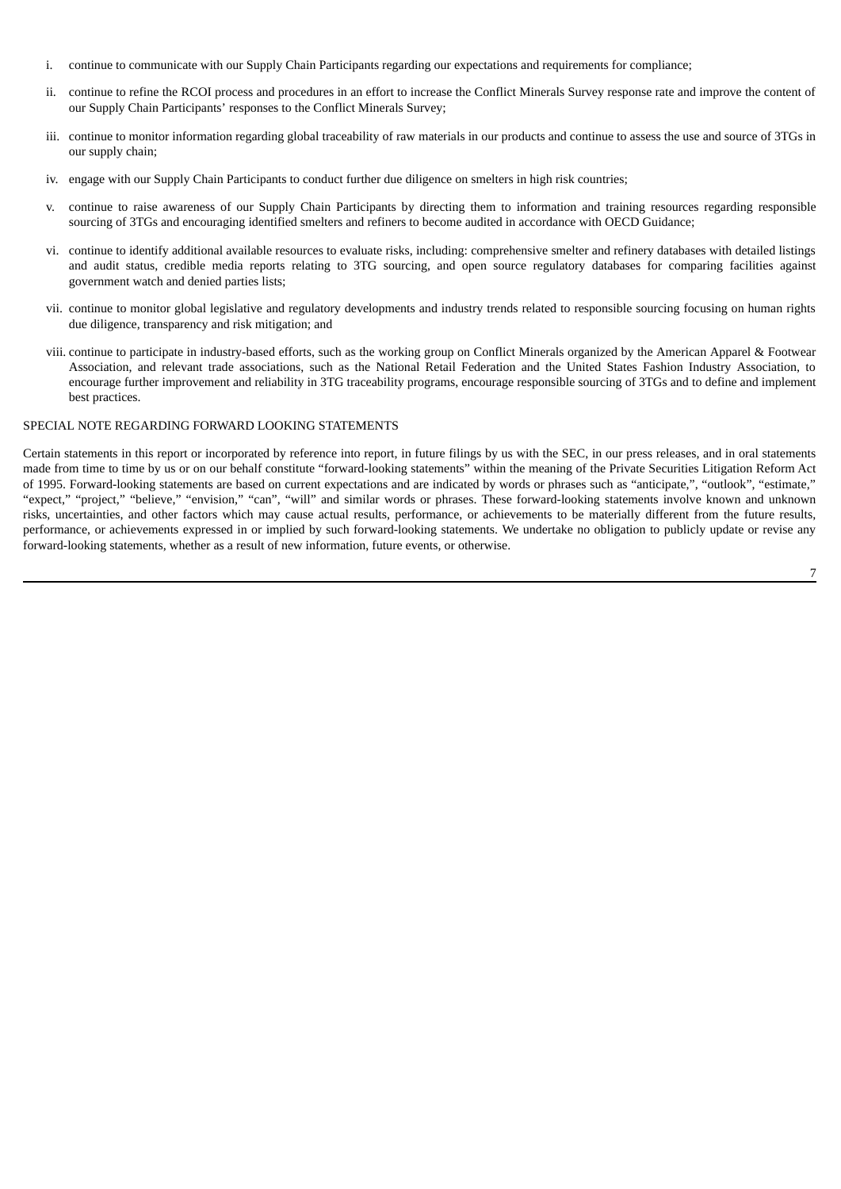- i. continue to communicate with our Supply Chain Participants regarding our expectations and requirements for compliance;
- ii. continue to refine the RCOI process and procedures in an effort to increase the Conflict Minerals Survey response rate and improve the content of our Supply Chain Participants' responses to the Conflict Minerals Survey;
- iii. continue to monitor information regarding global traceability of raw materials in our products and continue to assess the use and source of 3TGs in our supply chain;
- iv. engage with our Supply Chain Participants to conduct further due diligence on smelters in high risk countries;
- v. continue to raise awareness of our Supply Chain Participants by directing them to information and training resources regarding responsible sourcing of 3TGs and encouraging identified smelters and refiners to become audited in accordance with OECD Guidance;
- vi. continue to identify additional available resources to evaluate risks, including: comprehensive smelter and refinery databases with detailed listings and audit status, credible media reports relating to 3TG sourcing, and open source regulatory databases for comparing facilities against government watch and denied parties lists;
- vii. continue to monitor global legislative and regulatory developments and industry trends related to responsible sourcing focusing on human rights due diligence, transparency and risk mitigation; and
- viii. continue to participate in industry-based efforts, such as the working group on Conflict Minerals organized by the American Apparel & Footwear Association, and relevant trade associations, such as the National Retail Federation and the United States Fashion Industry Association, to encourage further improvement and reliability in 3TG traceability programs, encourage responsible sourcing of 3TGs and to define and implement best practices.

# SPECIAL NOTE REGARDING FORWARD LOOKING STATEMENTS

Certain statements in this report or incorporated by reference into report, in future filings by us with the SEC, in our press releases, and in oral statements made from time to time by us or on our behalf constitute "forward-looking statements" within the meaning of the Private Securities Litigation Reform Act of 1995. Forward-looking statements are based on current expectations and are indicated by words or phrases such as "anticipate,", "outlook", "estimate," "expect," "project," "believe," "envision," "can", "will" and similar words or phrases. These forward-looking statements involve known and unknown risks, uncertainties, and other factors which may cause actual results, performance, or achievements to be materially different from the future results, performance, or achievements expressed in or implied by such forward-looking statements. We undertake no obligation to publicly update or revise any forward-looking statements, whether as a result of new information, future events, or otherwise.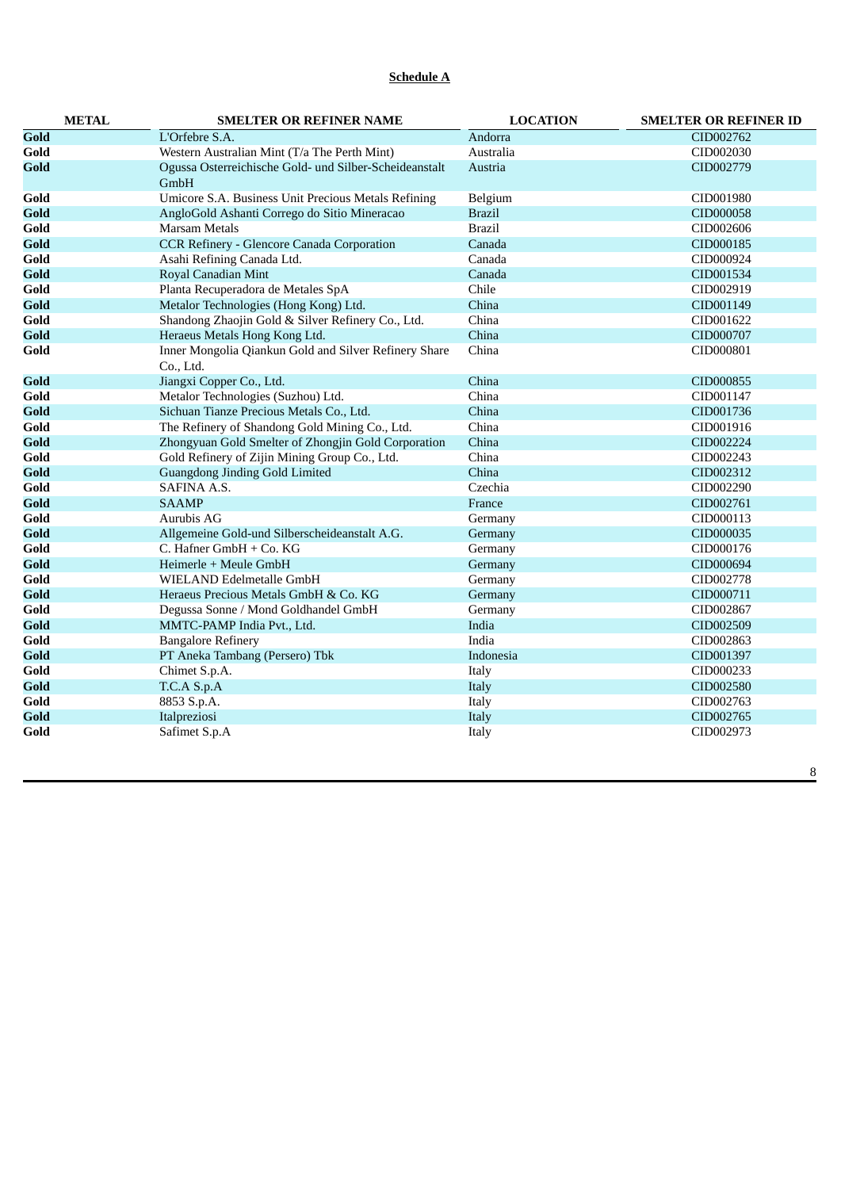# **Schedule A**

|      | <b>METAL</b> | <b>SMELTER OR REFINER NAME</b>                                     | <b>LOCATION</b> | <b>SMELTER OR REFINER ID</b> |
|------|--------------|--------------------------------------------------------------------|-----------------|------------------------------|
| Gold |              | L'Orfebre S.A.                                                     | Andorra         | CID002762                    |
| Gold |              | Western Australian Mint (T/a The Perth Mint)                       | Australia       | CID002030                    |
| Gold |              | Ogussa Osterreichische Gold- und Silber-Scheideanstalt<br>GmbH     | Austria         | CID002779                    |
| Gold |              | Umicore S.A. Business Unit Precious Metals Refining                | Belgium         | CID001980                    |
| Gold |              | AngloGold Ashanti Corrego do Sitio Mineracao                       | <b>Brazil</b>   | CID000058                    |
| Gold |              | <b>Marsam Metals</b>                                               | <b>Brazil</b>   | CID002606                    |
| Gold |              | <b>CCR Refinery - Glencore Canada Corporation</b>                  | Canada          | CID000185                    |
| Gold |              | Asahi Refining Canada Ltd.                                         | Canada          | CID000924                    |
| Gold |              | Royal Canadian Mint                                                | Canada          | CID001534                    |
| Gold |              | Planta Recuperadora de Metales SpA                                 | Chile           | CID002919                    |
| Gold |              | Metalor Technologies (Hong Kong) Ltd.                              | China           | CID001149                    |
| Gold |              | Shandong Zhaojin Gold & Silver Refinery Co., Ltd.                  | China           | CID001622                    |
| Gold |              | Heraeus Metals Hong Kong Ltd.                                      | China           | CID000707                    |
| Gold |              | Inner Mongolia Qiankun Gold and Silver Refinery Share<br>Co., Ltd. | China           | CID000801                    |
| Gold |              | Jiangxi Copper Co., Ltd.                                           | China           | CID000855                    |
| Gold |              | Metalor Technologies (Suzhou) Ltd.                                 | China           | CID001147                    |
| Gold |              | Sichuan Tianze Precious Metals Co., Ltd.                           | China           | CID001736                    |
| Gold |              | The Refinery of Shandong Gold Mining Co., Ltd.                     | China           | CID001916                    |
| Gold |              | Zhongyuan Gold Smelter of Zhongjin Gold Corporation                | China           | CID002224                    |
| Gold |              | Gold Refinery of Zijin Mining Group Co., Ltd.                      | China           | CID002243                    |
| Gold |              | <b>Guangdong Jinding Gold Limited</b>                              | China           | CID002312                    |
| Gold |              | SAFINA A.S.                                                        | Czechia         | CID002290                    |
| Gold |              | <b>SAAMP</b>                                                       | France          | CID002761                    |
| Gold |              | Aurubis AG                                                         | Germany         | CID000113                    |
| Gold |              | Allgemeine Gold-und Silberscheideanstalt A.G.                      | Germany         | CID000035                    |
| Gold |              | C. Hafner GmbH + Co. KG                                            | Germany         | CID000176                    |
| Gold |              | Heimerle + Meule GmbH                                              | Germany         | CID000694                    |
| Gold |              | WIELAND Edelmetalle GmbH                                           | Germany         | CID002778                    |
| Gold |              | Heraeus Precious Metals GmbH & Co. KG                              | Germany         | CID000711                    |
| Gold |              | Degussa Sonne / Mond Goldhandel GmbH                               | Germany         | CID002867                    |
| Gold |              | MMTC-PAMP India Pvt., Ltd.                                         | India           | CID002509                    |
| Gold |              | <b>Bangalore Refinery</b>                                          | India           | CID002863                    |
| Gold |              | PT Aneka Tambang (Persero) Tbk                                     | Indonesia       | CID001397                    |
| Gold |              | Chimet S.p.A.                                                      | Italy           | CID000233                    |
| Gold |              | T.C.A S.p.A                                                        | Italy           | CID002580                    |
| Gold |              | 8853 S.p.A.                                                        | Italy           | CID002763                    |
| Gold |              | Italpreziosi                                                       | Italy           | CID002765                    |
| Gold |              | Safimet S.p.A                                                      | Italy           | CID002973                    |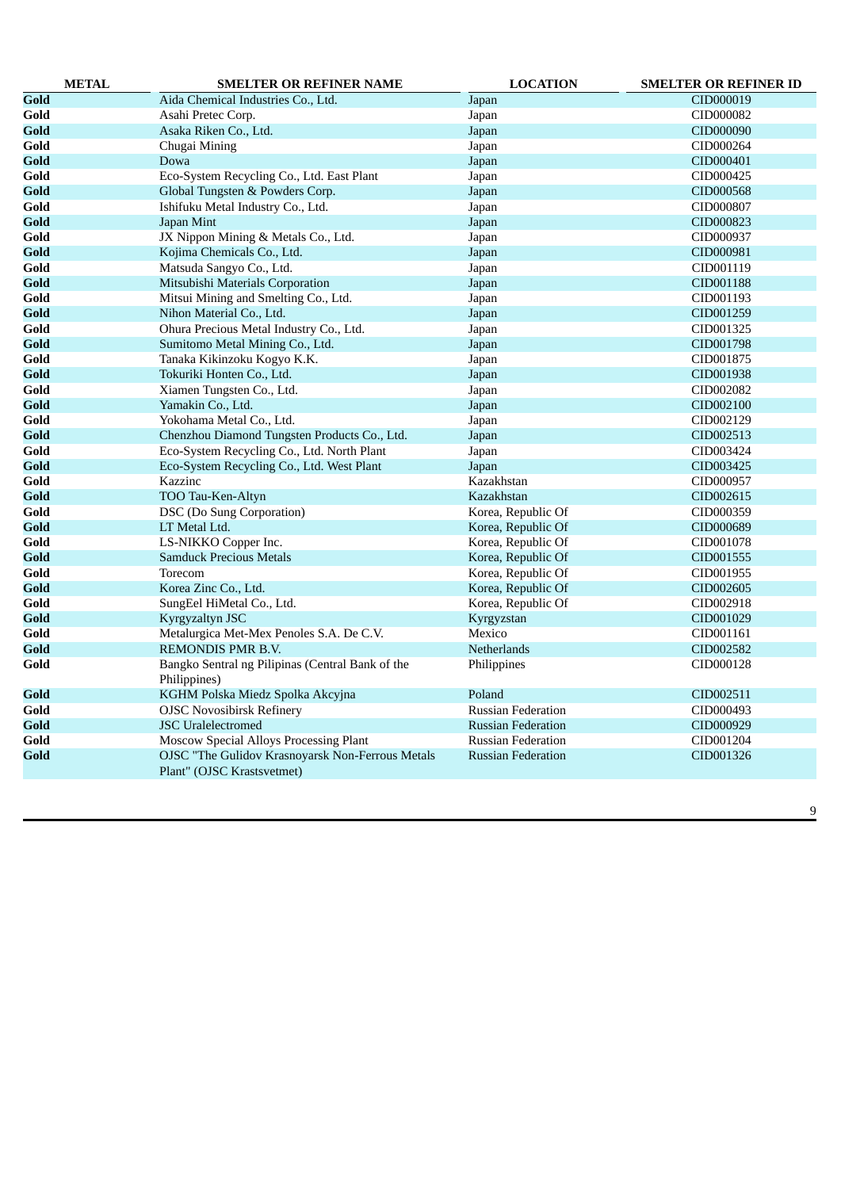| <b>METAL</b> | <b>SMELTER OR REFINER NAME</b>                                                 | <b>LOCATION</b>           | <b>SMELTER OR REFINER ID</b> |
|--------------|--------------------------------------------------------------------------------|---------------------------|------------------------------|
| Gold         | Aida Chemical Industries Co., Ltd.                                             | Japan                     | CID000019                    |
| Gold         | Asahi Pretec Corp.                                                             | Japan                     | CID000082                    |
| Gold         | Asaka Riken Co., Ltd.                                                          | Japan                     | CID000090                    |
| Gold         | Chugai Mining                                                                  | Japan                     | CID000264                    |
| Gold         | Dowa                                                                           | Japan                     | CID000401                    |
| Gold         | Eco-System Recycling Co., Ltd. East Plant                                      | Japan                     | CID000425                    |
| Gold         | Global Tungsten & Powders Corp.                                                | Japan                     | CID000568                    |
| Gold         | Ishifuku Metal Industry Co., Ltd.                                              | Japan                     | CID000807                    |
| Gold         | Japan Mint                                                                     | Japan                     | CID000823                    |
| Gold         | JX Nippon Mining & Metals Co., Ltd.                                            | Japan                     | CID000937                    |
| Gold         | Kojima Chemicals Co., Ltd.                                                     | Japan                     | CID000981                    |
| Gold         | Matsuda Sangyo Co., Ltd.                                                       | Japan                     | CID001119                    |
| Gold         | Mitsubishi Materials Corporation                                               | Japan                     | CID001188                    |
| Gold         | Mitsui Mining and Smelting Co., Ltd.                                           | Japan                     | CID001193                    |
| Gold         | Nihon Material Co., Ltd.                                                       | Japan                     | CID001259                    |
| Gold         | Ohura Precious Metal Industry Co., Ltd.                                        | Japan                     | CID001325                    |
| Gold         | Sumitomo Metal Mining Co., Ltd.                                                | Japan                     | CID001798                    |
| Gold         | Tanaka Kikinzoku Kogyo K.K.                                                    | Japan                     | CID001875                    |
| Gold         | Tokuriki Honten Co., Ltd.                                                      | Japan                     | CID001938                    |
| Gold         | Xiamen Tungsten Co., Ltd.                                                      | Japan                     | CID002082                    |
| Gold         | Yamakin Co., Ltd.                                                              | Japan                     | CID002100                    |
| Gold         | Yokohama Metal Co., Ltd.                                                       | Japan                     | CID002129                    |
| Gold         | Chenzhou Diamond Tungsten Products Co., Ltd.                                   | Japan                     | CID002513                    |
| Gold         | Eco-System Recycling Co., Ltd. North Plant                                     | Japan                     | CID003424                    |
| Gold         | Eco-System Recycling Co., Ltd. West Plant                                      | Japan                     | CID003425                    |
| Gold         | Kazzinc                                                                        | Kazakhstan                | CID000957                    |
| Gold         | TOO Tau-Ken-Altyn                                                              | Kazakhstan                | CID002615                    |
| Gold         | DSC (Do Sung Corporation)                                                      | Korea, Republic Of        | CID000359                    |
| Gold         | LT Metal Ltd.                                                                  | Korea, Republic Of        | CID000689                    |
| Gold         | LS-NIKKO Copper Inc.                                                           | Korea, Republic Of        | CID001078                    |
| Gold         | <b>Samduck Precious Metals</b>                                                 | Korea, Republic Of        | CID001555                    |
| Gold         | Torecom                                                                        | Korea, Republic Of        | CID001955                    |
| Gold         | Korea Zinc Co., Ltd.                                                           | Korea, Republic Of        | CID002605                    |
| Gold         | SungEel HiMetal Co., Ltd.                                                      | Korea, Republic Of        | CID002918                    |
| Gold         | Kyrgyzaltyn JSC                                                                | Kyrgyzstan                | CID001029                    |
| Gold         | Metalurgica Met-Mex Penoles S.A. De C.V.                                       | Mexico                    | CID001161                    |
| Gold         | REMONDIS PMR B.V.                                                              | Netherlands               | CID002582                    |
| Gold         | Bangko Sentral ng Pilipinas (Central Bank of the<br>Philippines)               | Philippines               | CID000128                    |
| Gold         | KGHM Polska Miedz Spolka Akcyjna                                               | Poland                    | CID002511                    |
| Gold         | <b>OJSC Novosibirsk Refinery</b>                                               | <b>Russian Federation</b> | CID000493                    |
| Gold         | <b>JSC</b> Uralelectromed                                                      | <b>Russian Federation</b> | CID000929                    |
| Gold         | Moscow Special Alloys Processing Plant                                         | <b>Russian Federation</b> | CID001204                    |
| Gold         | OJSC "The Gulidov Krasnoyarsk Non-Ferrous Metals<br>Plant" (OJSC Krastsvetmet) | <b>Russian Federation</b> | CID001326                    |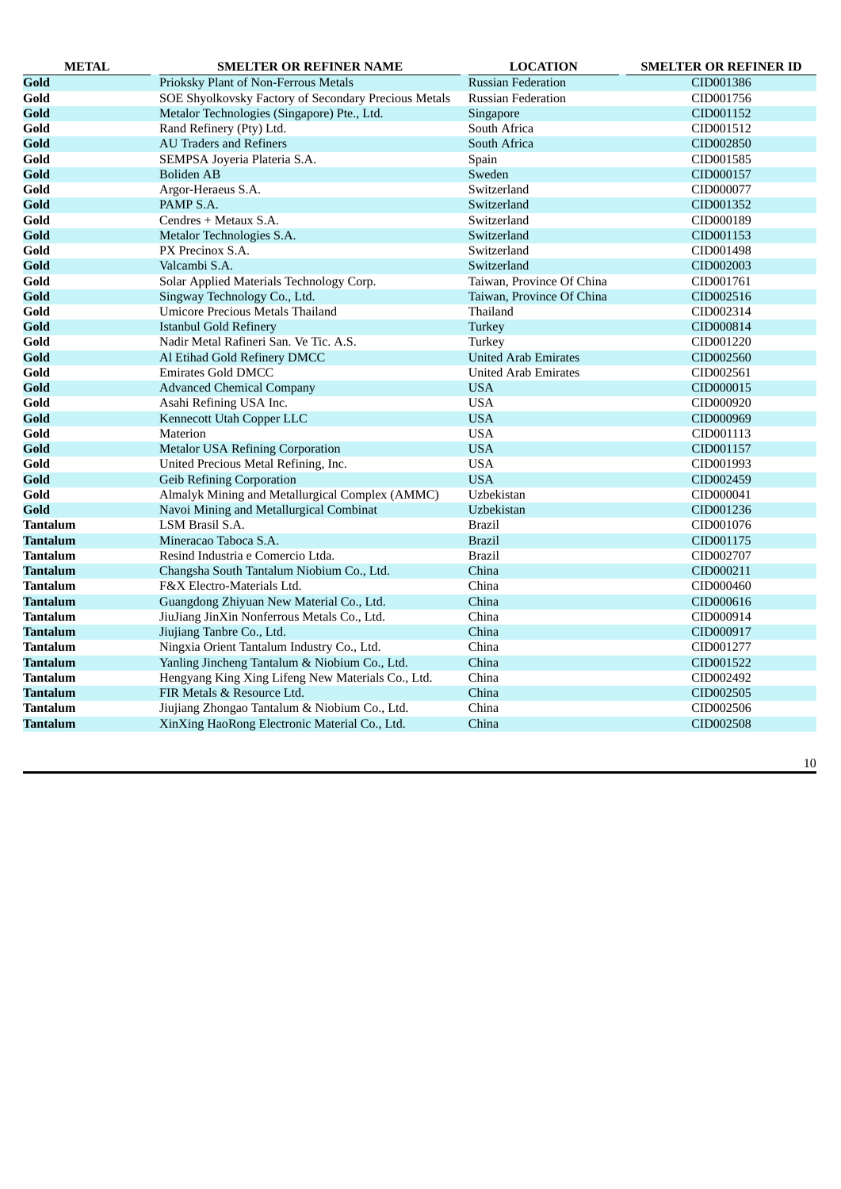| <b>METAL</b>    | <b>SMELTER OR REFINER NAME</b>                       | <b>LOCATION</b>             | <b>SMELTER OR REFINER ID</b> |
|-----------------|------------------------------------------------------|-----------------------------|------------------------------|
| Gold            | Prioksky Plant of Non-Ferrous Metals                 | <b>Russian Federation</b>   | CID001386                    |
| Gold            | SOE Shyolkovsky Factory of Secondary Precious Metals | <b>Russian Federation</b>   | CID001756                    |
| Gold            | Metalor Technologies (Singapore) Pte., Ltd.          | Singapore                   | CID001152                    |
| Gold            | Rand Refinery (Pty) Ltd.                             | South Africa                | CID001512                    |
| Gold            | <b>AU Traders and Refiners</b>                       | South Africa                | CID002850                    |
| Gold            | SEMPSA Joyeria Plateria S.A.                         | Spain                       | CID001585                    |
| Gold            | <b>Boliden AB</b>                                    | Sweden                      | CID000157                    |
| Gold            | Argor-Heraeus S.A.                                   | Switzerland                 | CID000077                    |
| Gold            | PAMP S.A.                                            | Switzerland                 | CID001352                    |
| Gold            | Cendres + Metaux S.A.                                | Switzerland                 | CID000189                    |
| Gold            | Metalor Technologies S.A.                            | Switzerland                 | CID001153                    |
| Gold            | PX Precinox S.A.                                     | Switzerland                 | CID001498                    |
| Gold            | Valcambi S.A.                                        | Switzerland                 | CID002003                    |
| Gold            | Solar Applied Materials Technology Corp.             | Taiwan, Province Of China   | CID001761                    |
| Gold            | Singway Technology Co., Ltd.                         | Taiwan, Province Of China   | CID002516                    |
| Gold            | <b>Umicore Precious Metals Thailand</b>              | Thailand                    | CID002314                    |
| Gold            | <b>Istanbul Gold Refinery</b>                        | Turkey                      | CID000814                    |
| Gold            | Nadir Metal Rafineri San. Ve Tic. A.S.               | Turkey                      | CID001220                    |
| Gold            | Al Etihad Gold Refinery DMCC                         | <b>United Arab Emirates</b> | CID002560                    |
| Gold            | <b>Emirates Gold DMCC</b>                            | <b>United Arab Emirates</b> | CID002561                    |
| Gold            | <b>Advanced Chemical Company</b>                     | <b>USA</b>                  | CID000015                    |
| Gold            | Asahi Refining USA Inc.                              | <b>USA</b>                  | CID000920                    |
| Gold            | Kennecott Utah Copper LLC                            | <b>USA</b>                  | CID000969                    |
| Gold            | Materion                                             | <b>USA</b>                  | CID001113                    |
| Gold            | <b>Metalor USA Refining Corporation</b>              | <b>USA</b>                  | CID001157                    |
| Gold            | United Precious Metal Refining, Inc.                 | <b>USA</b>                  | CID001993                    |
| Gold            | <b>Geib Refining Corporation</b>                     | <b>USA</b>                  | CID002459                    |
| Gold            | Almalyk Mining and Metallurgical Complex (AMMC)      | Uzbekistan                  | CID000041                    |
| Gold            | Navoi Mining and Metallurgical Combinat              | <b>Uzbekistan</b>           | CID001236                    |
| Tantalum        | LSM Brasil S.A.                                      | <b>Brazil</b>               | CID001076                    |
| <b>Tantalum</b> | Mineracao Taboca S.A.                                | <b>Brazil</b>               | CID001175                    |
| Tantalum        | Resind Industria e Comercio Ltda.                    | <b>Brazil</b>               | CID002707                    |
| Tantalum        | Changsha South Tantalum Niobium Co., Ltd.            | China                       | CID000211                    |
| Tantalum        | F&X Electro-Materials Ltd.                           | China                       | CID000460                    |
| Tantalum        | Guangdong Zhiyuan New Material Co., Ltd.             | China                       | CID000616                    |
| Tantalum        | JiuJiang JinXin Nonferrous Metals Co., Ltd.          | China                       | CID000914                    |
| Tantalum        | Jiujiang Tanbre Co., Ltd.                            | China                       | CID000917                    |
| Tantalum        | Ningxia Orient Tantalum Industry Co., Ltd.           | China                       | CID001277                    |
| Tantalum        | Yanling Jincheng Tantalum & Niobium Co., Ltd.        | China                       | CID001522                    |
| Tantalum        | Hengyang King Xing Lifeng New Materials Co., Ltd.    | China                       | CID002492                    |
| Tantalum        | FIR Metals & Resource Ltd.                           | China                       | CID002505                    |
| Tantalum        | Jiujiang Zhongao Tantalum & Niobium Co., Ltd.        | China                       | CID002506                    |
| Tantalum        | XinXing HaoRong Electronic Material Co., Ltd.        | China                       | CID002508                    |
|                 |                                                      |                             |                              |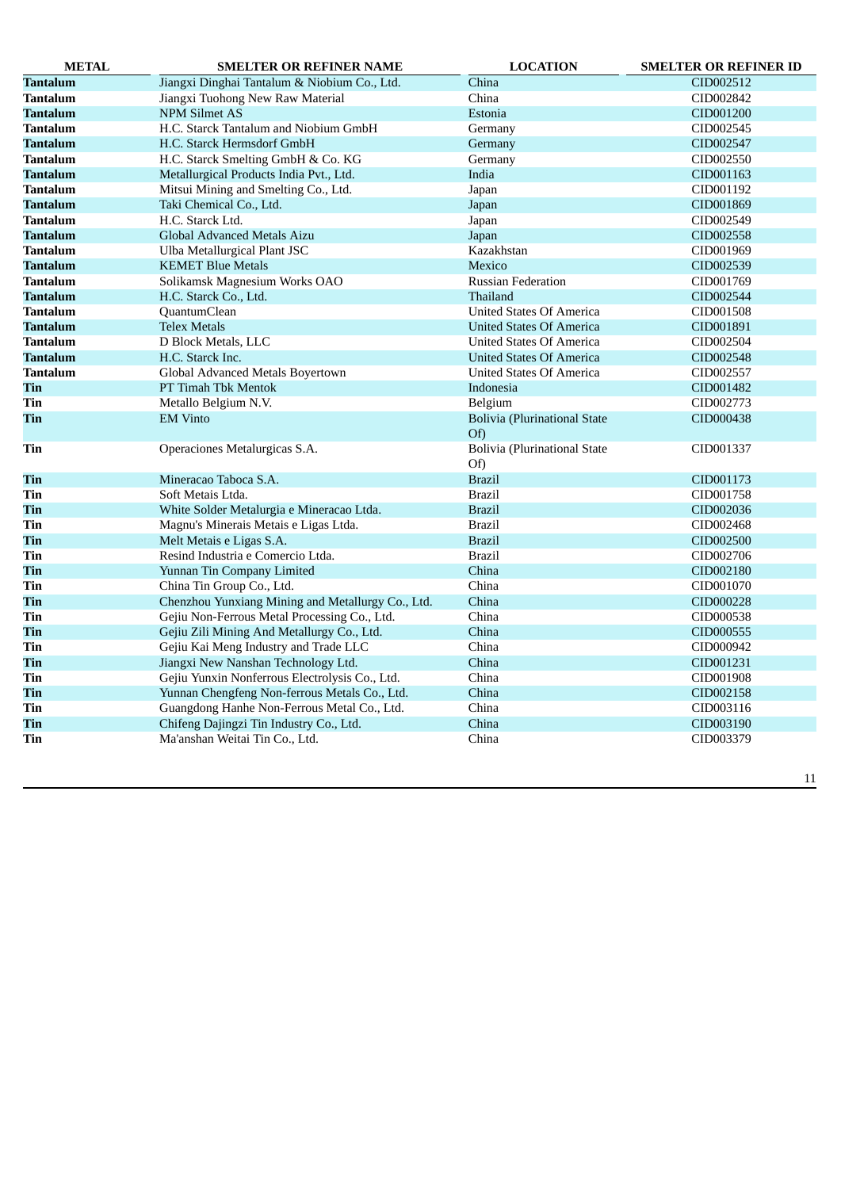| <b>METAL</b>    | <b>SMELTER OR REFINER NAME</b>                    | <b>LOCATION</b>                            | <b>SMELTER OR REFINER ID</b> |
|-----------------|---------------------------------------------------|--------------------------------------------|------------------------------|
| <b>Tantalum</b> | Jiangxi Dinghai Tantalum & Niobium Co., Ltd.      | China                                      | CID002512                    |
| <b>Tantalum</b> | Jiangxi Tuohong New Raw Material                  | China                                      | CID002842                    |
| <b>Tantalum</b> | <b>NPM Silmet AS</b>                              | Estonia                                    | CID001200                    |
| <b>Tantalum</b> | H.C. Starck Tantalum and Niobium GmbH             | Germany                                    | CID002545                    |
| Tantalum        | H.C. Starck Hermsdorf GmbH                        | Germany                                    | CID002547                    |
| <b>Tantalum</b> | H.C. Starck Smelting GmbH & Co. KG                | Germany                                    | CID002550                    |
| <b>Tantalum</b> | Metallurgical Products India Pvt., Ltd.           | India                                      | CID001163                    |
| <b>Tantalum</b> | Mitsui Mining and Smelting Co., Ltd.              | Japan                                      | CID001192                    |
| Tantalum        | Taki Chemical Co., Ltd.                           | Japan                                      | CID001869                    |
| <b>Tantalum</b> | H.C. Starck Ltd.                                  | Japan                                      | CID002549                    |
| <b>Tantalum</b> | Global Advanced Metals Aizu                       | Japan                                      | CID002558                    |
| Tantalum        | Ulba Metallurgical Plant JSC                      | Kazakhstan                                 | CID001969                    |
| Tantalum        | <b>KEMET Blue Metals</b>                          | Mexico                                     | CID002539                    |
| <b>Tantalum</b> | Solikamsk Magnesium Works OAO                     | <b>Russian Federation</b>                  | CID001769                    |
| Tantalum        | H.C. Starck Co., Ltd.                             | Thailand                                   | CID002544                    |
| <b>Tantalum</b> | QuantumClean                                      | United States Of America                   | CID001508                    |
| <b>Tantalum</b> | <b>Telex Metals</b>                               | <b>United States Of America</b>            | CID001891                    |
| <b>Tantalum</b> | D Block Metals, LLC                               | United States Of America                   | CID002504                    |
| <b>Tantalum</b> | H.C. Starck Inc.                                  | <b>United States Of America</b>            | CID002548                    |
| <b>Tantalum</b> | Global Advanced Metals Boyertown                  | United States Of America                   | CID002557                    |
| Tin             | PT Timah Tbk Mentok                               | Indonesia                                  | CID001482                    |
| Tin             | Metallo Belgium N.V.                              | Belgium                                    | CID002773                    |
| Tin             | <b>EM Vinto</b>                                   | <b>Bolivia (Plurinational State</b><br>Of) | CID000438                    |
| Tin             | Operaciones Metalurgicas S.A.                     | <b>Bolivia (Plurinational State</b><br>Of) | CID001337                    |
| Tin             | Mineracao Taboca S.A.                             | <b>Brazil</b>                              | CID001173                    |
| Tin             | Soft Metais Ltda.                                 | <b>Brazil</b>                              | CID001758                    |
| Tin             | White Solder Metalurgia e Mineracao Ltda.         | <b>Brazil</b>                              | CID002036                    |
| Tin             | Magnu's Minerais Metais e Ligas Ltda.             | <b>Brazil</b>                              | CID002468                    |
| Tin             | Melt Metais e Ligas S.A.                          | <b>Brazil</b>                              | CID002500                    |
| Tin             | Resind Industria e Comercio Ltda.                 | <b>Brazil</b>                              | CID002706                    |
| Tin             | Yunnan Tin Company Limited                        | China                                      | CID002180                    |
| Tin             | China Tin Group Co., Ltd.                         | China                                      | CID001070                    |
| Tin             | Chenzhou Yunxiang Mining and Metallurgy Co., Ltd. | China                                      | CID000228                    |
| Tin             | Gejiu Non-Ferrous Metal Processing Co., Ltd.      | China                                      | CID000538                    |
| Tin             | Gejiu Zili Mining And Metallurgy Co., Ltd.        | China                                      | CID000555                    |
| Tin             | Gejiu Kai Meng Industry and Trade LLC             | China                                      | CID000942                    |
| Tin             | Jiangxi New Nanshan Technology Ltd.               | China                                      | CID001231                    |
| Tin             | Gejiu Yunxin Nonferrous Electrolysis Co., Ltd.    | China                                      | CID001908                    |
| Tin             | Yunnan Chengfeng Non-ferrous Metals Co., Ltd.     | China                                      | CID002158                    |
| Tin             | Guangdong Hanhe Non-Ferrous Metal Co., Ltd.       | China                                      | CID003116                    |
| Tin             | Chifeng Dajingzi Tin Industry Co., Ltd.           | China                                      | CID003190                    |
| Tin             | Ma'anshan Weitai Tin Co., Ltd.                    | China                                      | CID003379                    |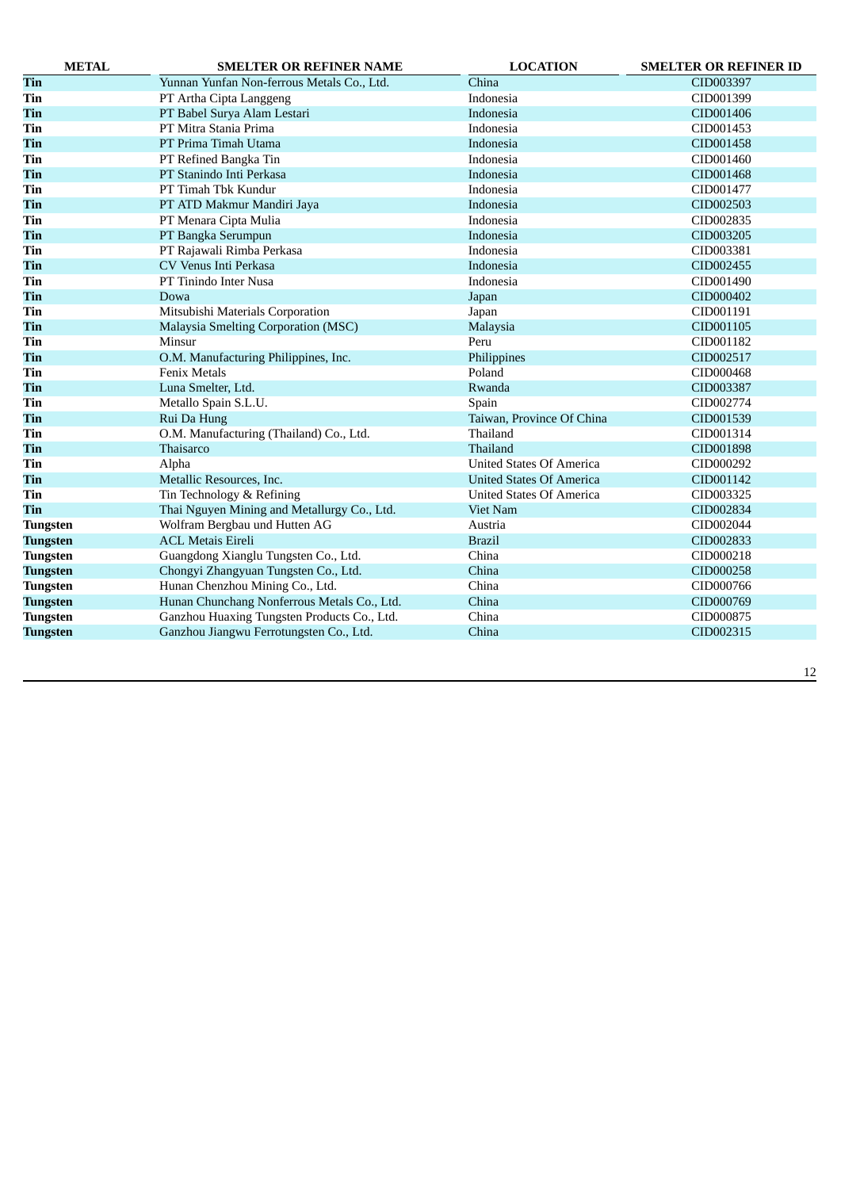| <b>METAL</b>    | <b>SMELTER OR REFINER NAME</b>              | <b>LOCATION</b>                 | <b>SMELTER OR REFINER ID</b> |
|-----------------|---------------------------------------------|---------------------------------|------------------------------|
| Tin             | Yunnan Yunfan Non-ferrous Metals Co., Ltd.  | China                           | CID003397                    |
| Tin             | PT Artha Cipta Langgeng                     | Indonesia                       | CID001399                    |
| Tin             | PT Babel Surya Alam Lestari                 | Indonesia                       | CID001406                    |
| Tin             | PT Mitra Stania Prima                       | Indonesia                       | CID001453                    |
| Tin             | PT Prima Timah Utama                        | Indonesia                       | CID001458                    |
| Tin             | PT Refined Bangka Tin                       | Indonesia                       | CID001460                    |
| Tin             | PT Stanindo Inti Perkasa                    | Indonesia                       | CID001468                    |
| Tin             | PT Timah Tbk Kundur                         | Indonesia                       | CID001477                    |
| Tin             | PT ATD Makmur Mandiri Jaya                  | Indonesia                       | CID002503                    |
| Tin             | PT Menara Cipta Mulia                       | Indonesia                       | CID002835                    |
| Tin             | PT Bangka Serumpun                          | Indonesia                       | CID003205                    |
| Tin             | PT Rajawali Rimba Perkasa                   | Indonesia                       | CID003381                    |
| Tin             | CV Venus Inti Perkasa                       | Indonesia                       | CID002455                    |
| Tin             | PT Tinindo Inter Nusa                       | Indonesia                       | CID001490                    |
| Tin             | Dowa                                        | Japan                           | CID000402                    |
| Tin             | Mitsubishi Materials Corporation            | Japan                           | CID001191                    |
| Tin             | Malaysia Smelting Corporation (MSC)         | Malaysia                        | CID001105                    |
| Tin             | Minsur                                      | Peru                            | CID001182                    |
| Tin             | O.M. Manufacturing Philippines, Inc.        | Philippines                     | CID002517                    |
| Tin             | <b>Fenix Metals</b>                         | Poland                          | CID000468                    |
| Tin             | Luna Smelter, Ltd.                          | Rwanda                          | CID003387                    |
| Tin             | Metallo Spain S.L.U.                        | Spain                           | CID002774                    |
| Tin             | Rui Da Hung                                 | Taiwan, Province Of China       | CID001539                    |
| Tin             | O.M. Manufacturing (Thailand) Co., Ltd.     | Thailand                        | CID001314                    |
| Tin             | Thaisarco                                   | Thailand                        | CID001898                    |
| Tin             | Alpha                                       | <b>United States Of America</b> | CID000292                    |
| Tin             | Metallic Resources, Inc.                    | <b>United States Of America</b> | CID001142                    |
| Tin             | Tin Technology & Refining                   | United States Of America        | CID003325                    |
| Tin             | Thai Nguyen Mining and Metallurgy Co., Ltd. | Viet Nam                        | CID002834                    |
| <b>Tungsten</b> | Wolfram Bergbau und Hutten AG               | Austria                         | CID002044                    |
| <b>Tungsten</b> | <b>ACL Metais Eireli</b>                    | <b>Brazil</b>                   | CID002833                    |
| <b>Tungsten</b> | Guangdong Xianglu Tungsten Co., Ltd.        | China                           | CID000218                    |
| <b>Tungsten</b> | Chongyi Zhangyuan Tungsten Co., Ltd.        | China                           | CID000258                    |
| <b>Tungsten</b> | Hunan Chenzhou Mining Co., Ltd.             | China                           | CID000766                    |
| <b>Tungsten</b> | Hunan Chunchang Nonferrous Metals Co., Ltd. | China                           | CID000769                    |
| <b>Tungsten</b> | Ganzhou Huaxing Tungsten Products Co., Ltd. | China                           | CID000875                    |
| <b>Tungsten</b> | Ganzhou Jiangwu Ferrotungsten Co., Ltd.     | China                           | CID002315                    |
|                 |                                             |                                 |                              |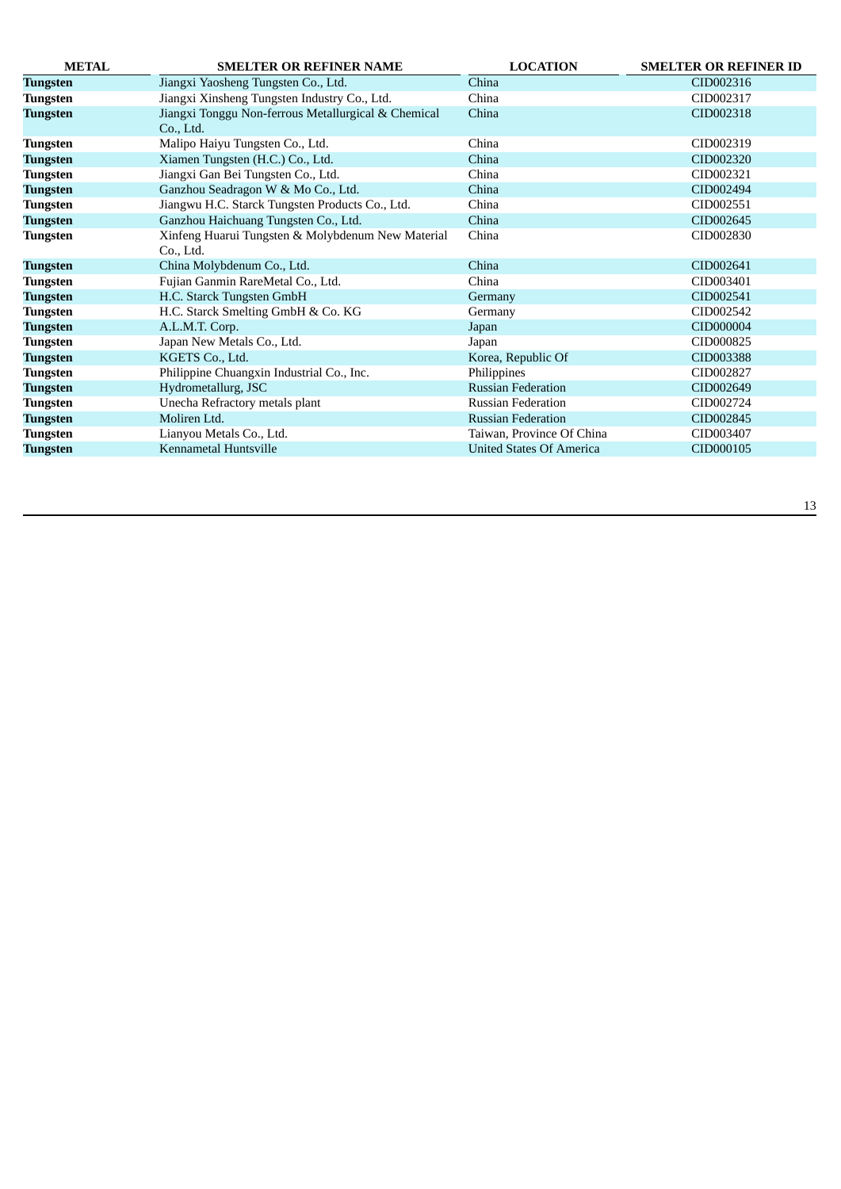| <b>METAL</b>    | <b>SMELTER OR REFINER NAME</b>                      | <b>LOCATION</b>                 | <b>SMELTER OR REFINER ID</b> |
|-----------------|-----------------------------------------------------|---------------------------------|------------------------------|
| <b>Tungsten</b> | Jiangxi Yaosheng Tungsten Co., Ltd.                 | China                           | CID002316                    |
| <b>Tungsten</b> | Jiangxi Xinsheng Tungsten Industry Co., Ltd.        | China                           | CID002317                    |
| <b>Tungsten</b> | Jiangxi Tonggu Non-ferrous Metallurgical & Chemical | China                           | CID002318                    |
|                 | Co., Ltd.                                           |                                 |                              |
| <b>Tungsten</b> | Malipo Haiyu Tungsten Co., Ltd.                     | China                           | CID002319                    |
| Tungsten        | Xiamen Tungsten (H.C.) Co., Ltd.                    | China                           | CID002320                    |
| Tungsten        | Jiangxi Gan Bei Tungsten Co., Ltd.                  | China                           | CID002321                    |
| <b>Tungsten</b> | Ganzhou Seadragon W & Mo Co., Ltd.                  | China                           | CID002494                    |
| Tungsten        | Jiangwu H.C. Starck Tungsten Products Co., Ltd.     | China                           | CID002551                    |
| <b>Tungsten</b> | Ganzhou Haichuang Tungsten Co., Ltd.                | China                           | CID002645                    |
| Tungsten        | Xinfeng Huarui Tungsten & Molybdenum New Material   | China                           | CID002830                    |
|                 | Co., Ltd.                                           |                                 |                              |
| <b>Tungsten</b> | China Molybdenum Co., Ltd.                          | China                           | CID002641                    |
| Tungsten        | Fujian Ganmin RareMetal Co., Ltd.                   | China                           | CID003401                    |
| Tungsten        | H.C. Starck Tungsten GmbH                           | Germany                         | CID002541                    |
| <b>Tungsten</b> | H.C. Starck Smelting GmbH & Co. KG                  | Germany                         | CID002542                    |
| <b>Tungsten</b> | A.L.M.T. Corp.                                      | Japan                           | CID000004                    |
| <b>Tungsten</b> | Japan New Metals Co., Ltd.                          | Japan                           | CID000825                    |
| <b>Tungsten</b> | KGETS Co., Ltd.                                     | Korea, Republic Of              | CID003388                    |
| Tungsten        | Philippine Chuangxin Industrial Co., Inc.           | Philippines                     | CID002827                    |
| <b>Tungsten</b> | Hydrometallurg, JSC                                 | <b>Russian Federation</b>       | CID002649                    |
| Tungsten        | Unecha Refractory metals plant                      | <b>Russian Federation</b>       | CID002724                    |
| Tungsten        | Moliren Ltd.                                        | <b>Russian Federation</b>       | CID002845                    |
| <b>Tungsten</b> | Lianyou Metals Co., Ltd.                            | Taiwan, Province Of China       | CID003407                    |
| Tungsten        | Kennametal Huntsville                               | <b>United States Of America</b> | CID000105                    |
|                 |                                                     |                                 |                              |